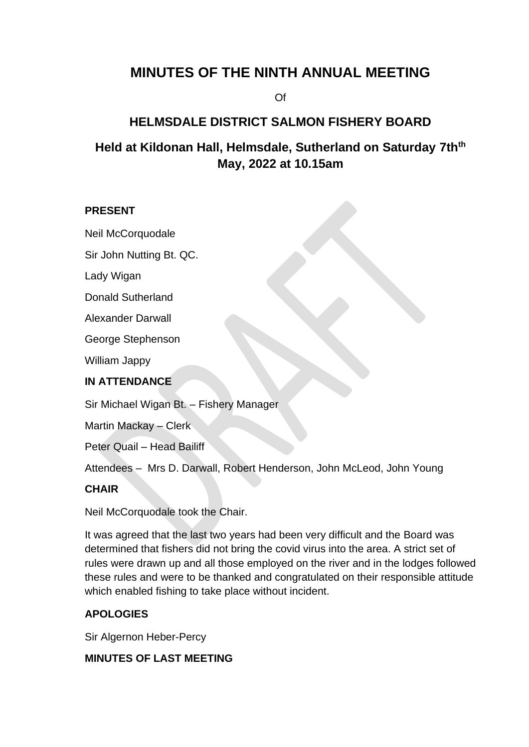# **MINUTES OF THE NINTH ANNUAL MEETING**

Of

# **HELMSDALE DISTRICT SALMON FISHERY BOARD**

# **Held at Kildonan Hall, Helmsdale, Sutherland on Saturday 7thth May, 2022 at 10.15am**

#### **PRESENT**

Neil McCorquodale

Sir John Nutting Bt. QC.

Lady Wigan

Donald Sutherland

Alexander Darwall

George Stephenson

William Jappy

#### **IN ATTENDANCE**

Sir Michael Wigan Bt. – Fishery Manager

Martin Mackay – Clerk

Peter Quail – Head Bailiff

Attendees – Mrs D. Darwall, Robert Henderson, John McLeod, John Young

#### **CHAIR**

Neil McCorquodale took the Chair.

It was agreed that the last two years had been very difficult and the Board was determined that fishers did not bring the covid virus into the area. A strict set of rules were drawn up and all those employed on the river and in the lodges followed these rules and were to be thanked and congratulated on their responsible attitude which enabled fishing to take place without incident.

### **APOLOGIES**

Sir Algernon Heber-Percy

### **MINUTES OF LAST MEETING**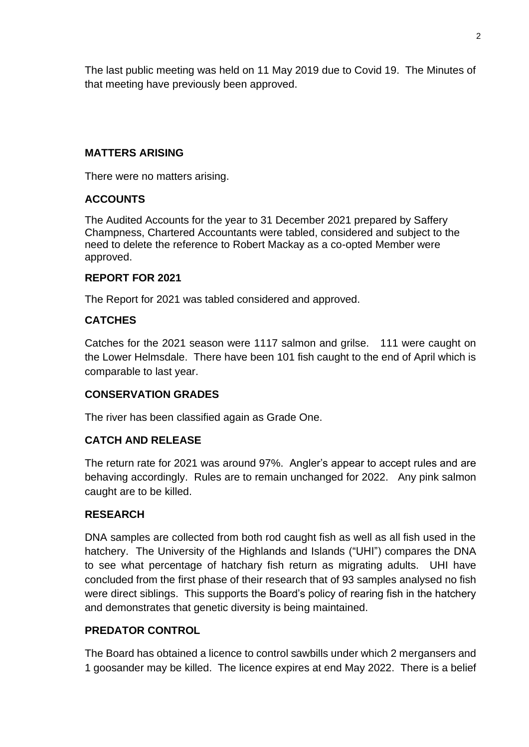The last public meeting was held on 11 May 2019 due to Covid 19. The Minutes of that meeting have previously been approved.

## **MATTERS ARISING**

There were no matters arising.

# **ACCOUNTS**

The Audited Accounts for the year to 31 December 2021 prepared by Saffery Champness, Chartered Accountants were tabled, considered and subject to the need to delete the reference to Robert Mackay as a co-opted Member were approved.

### **REPORT FOR 2021**

The Report for 2021 was tabled considered and approved.

# **CATCHES**

Catches for the 2021 season were 1117 salmon and grilse. 111 were caught on the Lower Helmsdale. There have been 101 fish caught to the end of April which is comparable to last year.

### **CONSERVATION GRADES**

The river has been classified again as Grade One.

### **CATCH AND RELEASE**

The return rate for 2021 was around 97%. Angler's appear to accept rules and are behaving accordingly. Rules are to remain unchanged for 2022. Any pink salmon caught are to be killed.

### **RESEARCH**

DNA samples are collected from both rod caught fish as well as all fish used in the hatchery. The University of the Highlands and Islands ("UHI") compares the DNA to see what percentage of hatchary fish return as migrating adults. UHI have concluded from the first phase of their research that of 93 samples analysed no fish were direct siblings. This supports the Board's policy of rearing fish in the hatchery and demonstrates that genetic diversity is being maintained.

# **PREDATOR CONTROL**

The Board has obtained a licence to control sawbills under which 2 mergansers and 1 goosander may be killed. The licence expires at end May 2022. There is a belief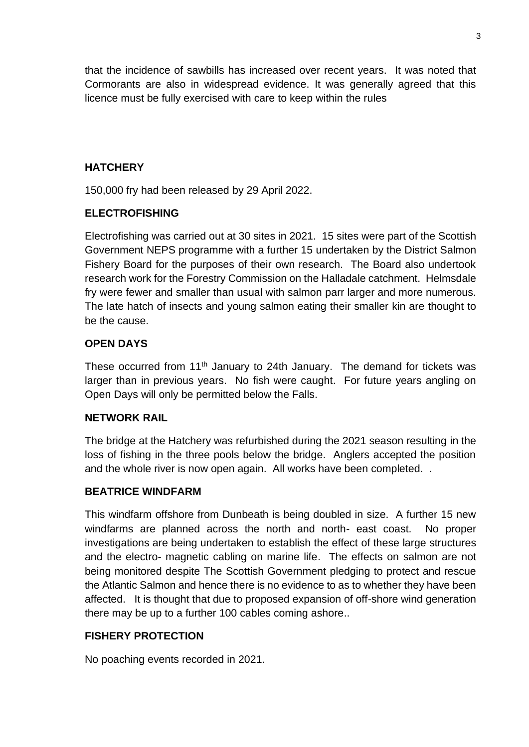that the incidence of sawbills has increased over recent years. It was noted that Cormorants are also in widespread evidence. It was generally agreed that this licence must be fully exercised with care to keep within the rules

## **HATCHERY**

150,000 fry had been released by 29 April 2022.

# **ELECTROFISHING**

Electrofishing was carried out at 30 sites in 2021. 15 sites were part of the Scottish Government NEPS programme with a further 15 undertaken by the District Salmon Fishery Board for the purposes of their own research. The Board also undertook research work for the Forestry Commission on the Halladale catchment. Helmsdale fry were fewer and smaller than usual with salmon parr larger and more numerous. The late hatch of insects and young salmon eating their smaller kin are thought to be the cause.

# **OPEN DAYS**

These occurred from 11<sup>th</sup> January to 24th January. The demand for tickets was larger than in previous years. No fish were caught. For future years angling on Open Days will only be permitted below the Falls.

### **NETWORK RAIL**

The bridge at the Hatchery was refurbished during the 2021 season resulting in the loss of fishing in the three pools below the bridge. Anglers accepted the position and the whole river is now open again. All works have been completed. .

### **BEATRICE WINDFARM**

This windfarm offshore from Dunbeath is being doubled in size. A further 15 new windfarms are planned across the north and north- east coast. No proper investigations are being undertaken to establish the effect of these large structures and the electro- magnetic cabling on marine life. The effects on salmon are not being monitored despite The Scottish Government pledging to protect and rescue the Atlantic Salmon and hence there is no evidence to as to whether they have been affected. It is thought that due to proposed expansion of off-shore wind generation there may be up to a further 100 cables coming ashore..

### **FISHERY PROTECTION**

No poaching events recorded in 2021.